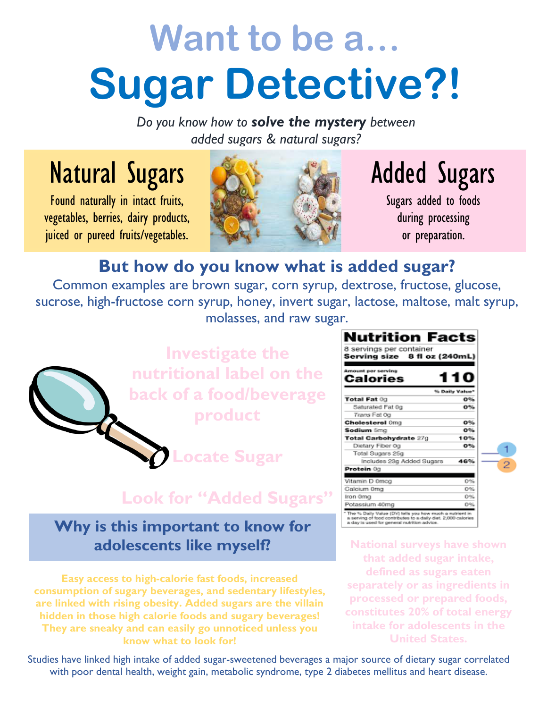# **Want to be a… Sugar Detective?!**

*Do you know how to solve the mystery between added sugars & natural sugars?*

### Natural Sugars

Found naturally in intact fruits, vegetables, berries, dairy products, juiced or pureed fruits/vegetables.



## Added Sugars

Sugars added to foods during processing or preparation.

#### **But how do you know what is added sugar?**

Common examples are brown sugar, corn syrup, dextrose, fructose, glucose, sucrose, high-fructose corn syrup, honey, invert sugar, lactose, maltose, malt syrup, molasses, and raw sugar.



**Locate Sugar**

#### **Look for "Added Sugars"**

#### **Why is this important to know for adolescents like myself?**

**Easy access to high-calorie fast foods, increased consumption of sugary beverages, and sedentary lifestyles, are linked with rising obesity. Added sugars are the villain hidden in those high calorie foods and sugary beverages! They are sneaky and can easily go unnoticed unless you know what to look for!**

8 servings per container Serving size 8 fl oz (240mL) Calories **S. Daily Value** Total Fat 0g  $O<sub>26</sub>$ Saturated Fat 0g  $0<sup>96</sup>$ Trans Fat Og  $0%$ Cholesterol 0mg Sodium 5mg  $O<sub>36</sub>$ Total Carbohydrate 27g 10% Dietary Fiber 0g 0% Total Sugars 25g Includes 23g Added Sugars 46% Protein 0g Vitamin D 0mcg 0% Calcium 0mg 0% Iron Omg 0% Potassium 40mg 0% The % Daily Value (DV) talls you how much a nutries a serving of food contributes to a daily dist. 2,000 o<br>a day is used for general nutrition advice.

Nutrition Facts

**National surveys have shown that added sugar intake, defined as sugars eaten separately or as ingredients in processed or prepared foods, constitutes 20% of total energy intake for adolescents in the United States.**

Studies have linked high intake of added sugar-sweetened beverages a major source of dietary sugar correlated with poor dental health, weight gain, metabolic syndrome, type 2 diabetes mellitus and heart disease.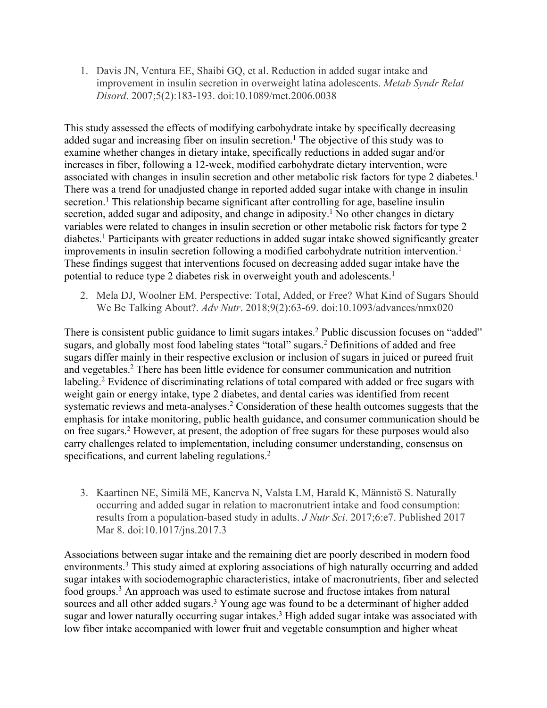1. Davis JN, Ventura EE, Shaibi GQ, et al. Reduction in added sugar intake and improvement in insulin secretion in overweight latina adolescents. *Metab Syndr Relat Disord*. 2007;5(2):183-193. doi:10.1089/met.2006.0038

This study assessed the effects of modifying carbohydrate intake by specifically decreasing added sugar and increasing fiber on insulin secretion. <sup>1</sup> The objective of this study was to examine whether changes in dietary intake, specifically reductions in added sugar and/or increases in fiber, following a 12-week, modified carbohydrate dietary intervention, were associated with changes in insulin secretion and other metabolic risk factors for type 2 diabetes.<sup>1</sup> There was a trend for unadjusted change in reported added sugar intake with change in insulin secretion.<sup>1</sup> This relationship became significant after controlling for age, baseline insulin secretion, added sugar and adiposity, and change in adiposity.<sup>1</sup> No other changes in dietary variables were related to changes in insulin secretion or other metabolic risk factors for type 2 diabetes.<sup>1</sup> Participants with greater reductions in added sugar intake showed significantly greater improvements in insulin secretion following a modified carbohydrate nutrition intervention.<sup>1</sup> These findings suggest that interventions focused on decreasing added sugar intake have the potential to reduce type 2 diabetes risk in overweight youth and adolescents. 1

2. Mela DJ, Woolner EM. Perspective: Total, Added, or Free? What Kind of Sugars Should We Be Talking About?. *Adv Nutr*. 2018;9(2):63-69. doi:10.1093/advances/nmx020

There is consistent public guidance to limit sugars intakes.<sup>2</sup> Public discussion focuses on "added" sugars, and globally most food labeling states "total" sugars.<sup>2</sup> Definitions of added and free sugars differ mainly in their respective exclusion or inclusion of sugars in juiced or pureed fruit and vegetables.2 There has been little evidence for consumer communication and nutrition labeling.<sup>2</sup> Evidence of discriminating relations of total compared with added or free sugars with weight gain or energy intake, type 2 diabetes, and dental caries was identified from recent systematic reviews and meta-analyses.<sup>2</sup> Consideration of these health outcomes suggests that the emphasis for intake monitoring, public health guidance, and consumer communication should be on free sugars.2 However, at present, the adoption of free sugars for these purposes would also carry challenges related to implementation, including consumer understanding, consensus on specifications, and current labeling regulations.<sup>2</sup>

3. Kaartinen NE, Similä ME, Kanerva N, Valsta LM, Harald K, Männistö S. Naturally occurring and added sugar in relation to macronutrient intake and food consumption: results from a population-based study in adults. *J Nutr Sci*. 2017;6:e7. Published 2017 Mar 8. doi:10.1017/jns.2017.3

Associations between sugar intake and the remaining diet are poorly described in modern food environments.3 This study aimed at exploring associations of high naturally occurring and added sugar intakes with sociodemographic characteristics, intake of macronutrients, fiber and selected food groups.<sup>3</sup> An approach was used to estimate sucrose and fructose intakes from natural sources and all other added sugars.<sup>3</sup> Young age was found to be a determinant of higher added sugar and lower naturally occurring sugar intakes.<sup>3</sup> High added sugar intake was associated with low fiber intake accompanied with lower fruit and vegetable consumption and higher wheat